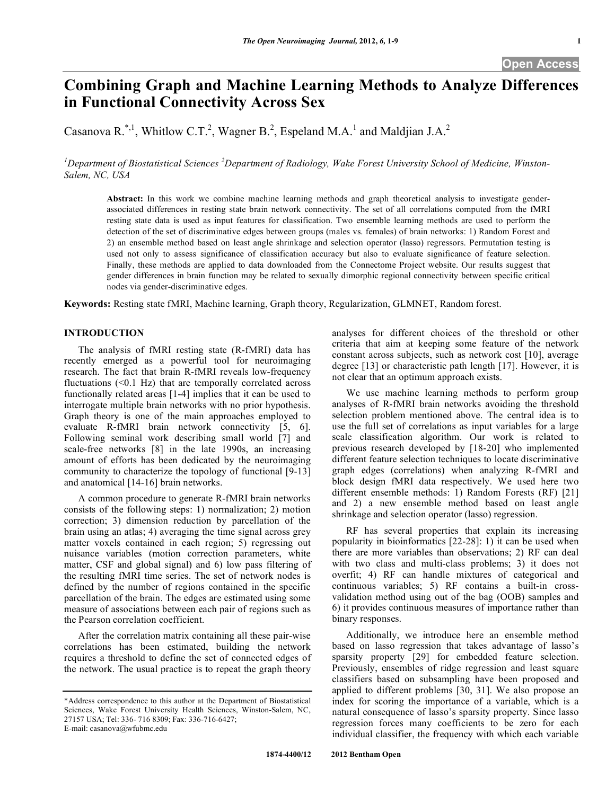# **Combining Graph and Machine Learning Methods to Analyze Differences in Functional Connectivity Across Sex**

Casanova R.<sup>\*,1</sup>, Whitlow C.T.<sup>2</sup>, Wagner B.<sup>2</sup>, Espeland M.A.<sup>1</sup> and Maldjian J.A.<sup>2</sup>

<sup>1</sup>Department of Biostatistical Sciences <sup>2</sup>Department of Radiology, Wake Forest University School of Medicine, Winston-*Salem, NC, USA*

**Abstract:** In this work we combine machine learning methods and graph theoretical analysis to investigate genderassociated differences in resting state brain network connectivity. The set of all correlations computed from the fMRI resting state data is used as input features for classification. Two ensemble learning methods are used to perform the detection of the set of discriminative edges between groups (males vs. females) of brain networks: 1) Random Forest and 2) an ensemble method based on least angle shrinkage and selection operator (lasso) regressors. Permutation testing is used not only to assess significance of classification accuracy but also to evaluate significance of feature selection. Finally, these methods are applied to data downloaded from the Connectome Project website. Our results suggest that gender differences in brain function may be related to sexually dimorphic regional connectivity between specific critical nodes via gender-discriminative edges.

**Keywords:** Resting state fMRI, Machine learning, Graph theory, Regularization, GLMNET, Random forest.

# **INTRODUCTION**

The analysis of fMRI resting state (R-fMRI) data has recently emerged as a powerful tool for neuroimaging research. The fact that brain R-fMRI reveals low-frequency fluctuations (<0.1 Hz) that are temporally correlated across functionally related areas [1-4] implies that it can be used to interrogate multiple brain networks with no prior hypothesis. Graph theory is one of the main approaches employed to evaluate R-fMRI brain network connectivity [5, 6]. Following seminal work describing small world [7] and scale-free networks [8] in the late 1990s, an increasing amount of efforts has been dedicated by the neuroimaging community to characterize the topology of functional [9-13] and anatomical [14-16] brain networks.

A common procedure to generate R-fMRI brain networks consists of the following steps: 1) normalization; 2) motion correction; 3) dimension reduction by parcellation of the brain using an atlas; 4) averaging the time signal across grey matter voxels contained in each region; 5) regressing out nuisance variables (motion correction parameters, white matter, CSF and global signal) and 6) low pass filtering of the resulting fMRI time series. The set of network nodes is defined by the number of regions contained in the specific parcellation of the brain. The edges are estimated using some measure of associations between each pair of regions such as the Pearson correlation coefficient.

After the correlation matrix containing all these pair-wise correlations has been estimated, building the network requires a threshold to define the set of connected edges of the network. The usual practice is to repeat the graph theory

analyses for different choices of the threshold or other criteria that aim at keeping some feature of the network constant across subjects, such as network cost [10], average degree [13] or characteristic path length [17]. However, it is not clear that an optimum approach exists.

We use machine learning methods to perform group analyses of R-fMRI brain networks avoiding the threshold selection problem mentioned above. The central idea is to use the full set of correlations as input variables for a large scale classification algorithm. Our work is related to previous research developed by [18-20] who implemented different feature selection techniques to locate discriminative graph edges (correlations) when analyzing R-fMRI and block design fMRI data respectively. We used here two different ensemble methods: 1) Random Forests (RF) [21] and 2) a new ensemble method based on least angle shrinkage and selection operator (lasso) regression.

RF has several properties that explain its increasing popularity in bioinformatics [22-28]: 1) it can be used when there are more variables than observations; 2) RF can deal with two class and multi-class problems; 3) it does not overfit; 4) RF can handle mixtures of categorical and continuous variables; 5) RF contains a built-in crossvalidation method using out of the bag (OOB) samples and 6) it provides continuous measures of importance rather than binary responses.

Additionally, we introduce here an ensemble method based on lasso regression that takes advantage of lasso's sparsity property [29] for embedded feature selection. Previously, ensembles of ridge regression and least square classifiers based on subsampling have been proposed and applied to different problems [30, 31]. We also propose an index for scoring the importance of a variable, which is a natural consequence of lasso's sparsity property. Since lasso regression forces many coefficients to be zero for each individual classifier, the frequency with which each variable

<sup>\*</sup>Address correspondence to this author at the Department of Biostatistical Sciences, Wake Forest University Health Sciences, Winston-Salem, NC, 27157 USA; Tel: 336- 716 8309; Fax: 336-716-6427; E-mail: casanova@wfubmc.edu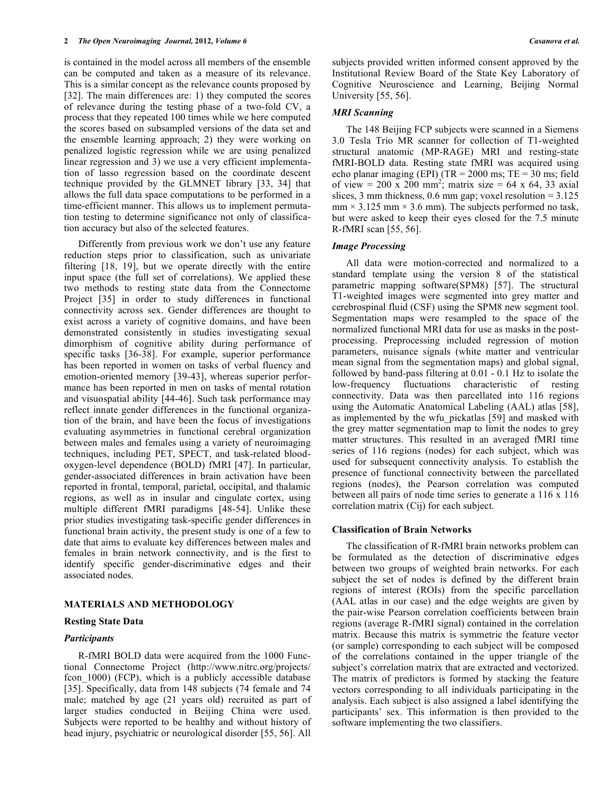is contained in the model across all members of the ensemble can be computed and taken as a measure of its relevance. This is a similar concept as the relevance counts proposed by [32]. The main differences are: 1) they computed the scores of relevance during the testing phase of a two-fold CV, a process that they repeated 100 times while we here computed the scores based on subsampled versions of the data set and the ensemble learning approach; 2) they were working on penalized logistic regression while we are using penalized linear regression and 3) we use a very efficient implementation of lasso regression based on the coordinate descent technique provided by the GLMNET library [33, 34] that allows the full data space computations to be performed in a time-efficient manner. This allows us to implement permutation testing to determine significance not only of classification accuracy but also of the selected features.

Differently from previous work we don't use any feature reduction steps prior to classification, such as univariate filtering [18, 19], but we operate directly with the entire input space (the full set of correlations). We applied these two methods to resting state data from the Connectome Project [35] in order to study differences in functional connectivity across sex. Gender differences are thought to exist across a variety of cognitive domains, and have been demonstrated consistently in studies investigating sexual dimorphism of cognitive ability during performance of specific tasks [36-38]. For example, superior performance has been reported in women on tasks of verbal fluency and emotion-oriented memory [39-43], whereas superior performance has been reported in men on tasks of mental rotation and visuospatial ability [44-46]. Such task performance may reflect innate gender differences in the functional organization of the brain, and have been the focus of investigations evaluating asymmetries in functional cerebral organization between males and females using a variety of neuroimaging techniques, including PET, SPECT, and task-related bloodoxygen-level dependence (BOLD) fMRI [47]. In particular, gender-associated differences in brain activation have been reported in frontal, temporal, parietal, occipital, and thalamic regions, as well as in insular and cingulate cortex, using multiple different fMRI paradigms [48-54]. Unlike these prior studies investigating task-specific gender differences in functional brain activity, the present study is one of a few to date that aims to evaluate key differences between males and females in brain network connectivity, and is the first to identify specific gender-discriminative edges and their associated nodes.

# **MATERIALS AND METHODOLOGY**

#### **Resting State Data**

#### *Participants*

R-fMRI BOLD data were acquired from the 1000 Functional Connectome Project (http://www.nitrc.org/projects/ fcon 1000) (FCP), which is a publicly accessible database [35]. Specifically, data from 148 subjects (74 female and 74 male; matched by age (21 years old) recruited as part of larger studies conducted in Beijing China were used. Subjects were reported to be healthy and without history of head injury, psychiatric or neurological disorder [55, 56]. All

subjects provided written informed consent approved by the Institutional Review Board of the State Key Laboratory of Cognitive Neuroscience and Learning, Beijing Normal University [55, 56].

#### *MRI Scanning*

The 148 Beijing FCP subjects were scanned in a Siemens 3.0 Tesla Trio MR scanner for collection of T1-weighted structural anatomic (MP-RAGE) MRI and resting-state fMRI-BOLD data. Resting state fMRI was acquired using echo planar imaging (EPI) (TR = 2000 ms; TE = 30 ms; field of view = 200 x 200 mm<sup>2</sup>; matrix size = 64 x 64, 33 axial slices, 3 mm thickness, 0.6 mm gap; voxel resolution  $= 3.125$  $mm \times 3.125$  mm  $\times 3.6$  mm). The subjects performed no task, but were asked to keep their eyes closed for the 7.5 minute R-fMRI scan [55, 56].

### *Image Processing*

All data were motion-corrected and normalized to a standard template using the version 8 of the statistical parametric mapping software(SPM8) [57]. The structural T1-weighted images were segmented into grey matter and cerebrospinal fluid (CSF) using the SPM8 new segment tool. Segmentation maps were resampled to the space of the normalized functional MRI data for use as masks in the postprocessing. Preprocessing included regression of motion parameters, nuisance signals (white matter and ventricular mean signal from the segmentation maps) and global signal, followed by band-pass filtering at 0.01 - 0.1 Hz to isolate the low-frequency fluctuations characteristic of resting connectivity. Data was then parcellated into 116 regions using the Automatic Anatomical Labeling (AAL) atlas [58], as implemented by the wfu\_pickatlas [59] and masked with the grey matter segmentation map to limit the nodes to grey matter structures. This resulted in an averaged fMRI time series of 116 regions (nodes) for each subject, which was used for subsequent connectivity analysis. To establish the presence of functional connectivity between the parcellated regions (nodes), the Pearson correlation was computed between all pairs of node time series to generate a 116 x 116 correlation matrix (Cij) for each subject.

#### **Classification of Brain Networks**

The classification of R-fMRI brain networks problem can be formulated as the detection of discriminative edges between two groups of weighted brain networks. For each subject the set of nodes is defined by the different brain regions of interest (ROIs) from the specific parcellation (AAL atlas in our case) and the edge weights are given by the pair-wise Pearson correlation coefficients between brain regions (average R-fMRI signal) contained in the correlation matrix. Because this matrix is symmetric the feature vector (or sample) corresponding to each subject will be composed of the correlations contained in the upper triangle of the subject's correlation matrix that are extracted and vectorized. The matrix of predictors is formed by stacking the feature vectors corresponding to all individuals participating in the analysis. Each subject is also assigned a label identifying the participants' sex. This information is then provided to the software implementing the two classifiers.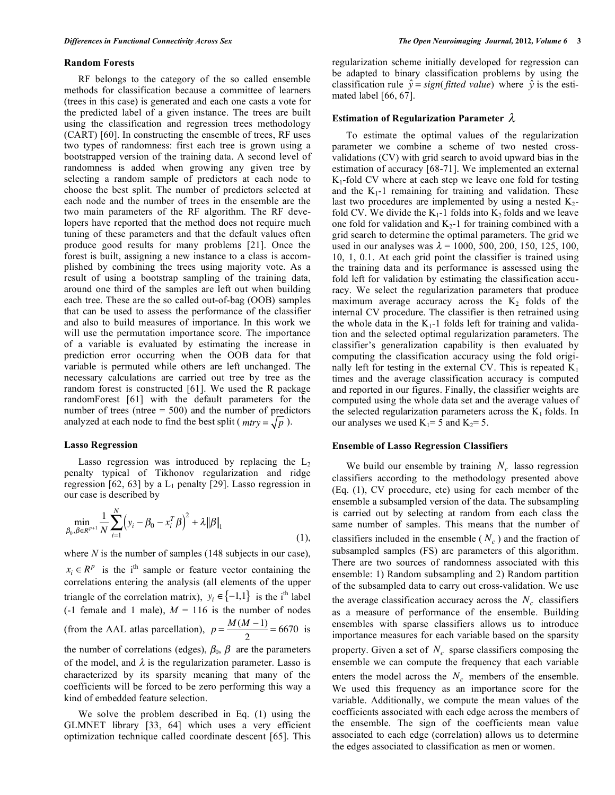#### **Random Forests**

RF belongs to the category of the so called ensemble methods for classification because a committee of learners (trees in this case) is generated and each one casts a vote for the predicted label of a given instance. The trees are built using the classification and regression trees methodology (CART) [60]. In constructing the ensemble of trees, RF uses two types of randomness: first each tree is grown using a bootstrapped version of the training data. A second level of randomness is added when growing any given tree by selecting a random sample of predictors at each node to choose the best split. The number of predictors selected at each node and the number of trees in the ensemble are the two main parameters of the RF algorithm. The RF developers have reported that the method does not require much tuning of these parameters and that the default values often produce good results for many problems [21]. Once the forest is built, assigning a new instance to a class is accomplished by combining the trees using majority vote. As a result of using a bootstrap sampling of the training data, around one third of the samples are left out when building each tree. These are the so called out-of-bag (OOB) samples that can be used to assess the performance of the classifier and also to build measures of importance. In this work we will use the permutation importance score. The importance of a variable is evaluated by estimating the increase in prediction error occurring when the OOB data for that variable is permuted while others are left unchanged. The necessary calculations are carried out tree by tree as the random forest is constructed [61]. We used the R package randomForest [61] with the default parameters for the number of trees (ntree = 500) and the number of predictors analyzed at each node to find the best split ( $mtry = \sqrt{p}$ ).

### **Lasso Regression**

Lasso regression was introduced by replacing the  $L_2$ penalty typical of Tikhonov regularization and ridge regression [62, 63] by a  $L_1$  penalty [29]. Lasso regression in our case is described by

$$
\min_{\beta_0, \beta \in R^{p+1}} \frac{1}{N} \sum_{i=1}^N \left( y_i - \beta_0 - x_i^T \beta \right)^2 + \lambda ||\beta||_1
$$
\n(1),

where *N* is the number of samples (148 subjects in our case),  $x_i \in R^p$  is the i<sup>th</sup> sample or feature vector containing the correlations entering the analysis (all elements of the upper triangle of the correlation matrix),  $y_i \in \{-1,1\}$  is the i<sup>th</sup> label (-1 female and 1 male),  $M = 116$  is the number of nodes (from the AAL atlas parcellation),  $p = \frac{M(M-1)}{2}$  $\frac{x+1}{2}$  = 6670 is the number of correlations (edges),  $\beta_0$ ,  $\beta$  are the parameters of the model, and  $\lambda$  is the regularization parameter. Lasso is characterized by its sparsity meaning that many of the coefficients will be forced to be zero performing this way a kind of embedded feature selection.

We solve the problem described in Eq. (1) using the GLMNET library [33, 64] which uses a very efficient optimization technique called coordinate descent [65]. This regularization scheme initially developed for regression can be adapted to binary classification problems by using the classification rule  $\hat{y} = sign(fitted \ value)$  where  $\hat{y}$  is the estimated label [66, 67].

# Estimation of Regularization Parameter  $\lambda$

To estimate the optimal values of the regularization parameter we combine a scheme of two nested crossvalidations (CV) with grid search to avoid upward bias in the estimation of accuracy [68-71]. We implemented an external  $K_1$ -fold CV where at each step we leave one fold for testing and the  $K_1$ -1 remaining for training and validation. These last two procedures are implemented by using a nested  $K_2$ fold CV. We divide the  $K_1$ -1 folds into  $K_2$  folds and we leave one fold for validation and  $K_2$ -1 for training combined with a grid search to determine the optimal parameters. The grid we used in our analyses was  $\lambda = 1000, 500, 200, 150, 125, 100,$ 10, 1, 0.1. At each grid point the classifier is trained using the training data and its performance is assessed using the fold left for validation by estimating the classification accuracy. We select the regularization parameters that produce maximum average accuracy across the  $K_2$  folds of the internal CV procedure. The classifier is then retrained using the whole data in the  $K_1$ -1 folds left for training and validation and the selected optimal regularization parameters. The classifier's generalization capability is then evaluated by computing the classification accuracy using the fold originally left for testing in the external CV. This is repeated  $K_1$ times and the average classification accuracy is computed and reported in our figures. Finally, the classifier weights are computed using the whole data set and the average values of the selected regularization parameters across the  $K_1$  folds. In our analyses we used  $K_1=5$  and  $K_2=5$ .

### **Ensemble of Lasso Regression Classifiers**

We build our ensemble by training  $N_c$  lasso regression classifiers according to the methodology presented above (Eq. (1), CV procedure, etc) using for each member of the ensemble a subsampled version of the data. The subsampling is carried out by selecting at random from each class the same number of samples. This means that the number of classifiers included in the ensemble  $(N_c)$  and the fraction of subsampled samples (FS) are parameters of this algorithm. There are two sources of randomness associated with this ensemble: 1) Random subsampling and 2) Random partition of the subsampled data to carry out cross-validation. We use the average classification accuracy across the  $N_c$  classifiers as a measure of performance of the ensemble. Building ensembles with sparse classifiers allows us to introduce importance measures for each variable based on the sparsity property. Given a set of  $N_c$  sparse classifiers composing the ensemble we can compute the frequency that each variable enters the model across the  $N_c$  members of the ensemble. We used this frequency as an importance score for the variable. Additionally, we compute the mean values of the coefficients associated with each edge across the members of the ensemble. The sign of the coefficients mean value associated to each edge (correlation) allows us to determine the edges associated to classification as men or women.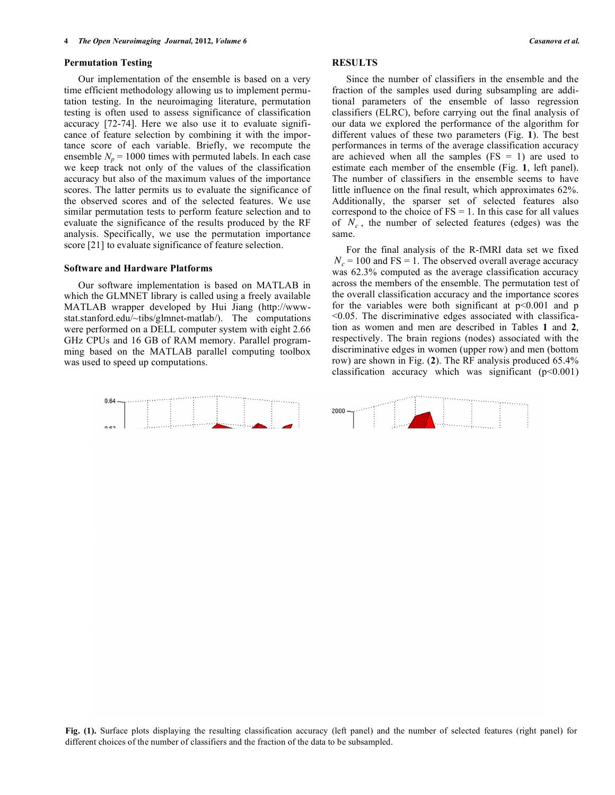#### **Permutation Testing**

Our implementation of the ensemble is based on a very time efficient methodology allowing us to implement permutation testing. In the neuroimaging literature, permutation testing is often used to assess significance of classification accuracy [72-74]. Here we also use it to evaluate significance of feature selection by combining it with the importance score of each variable. Briefly, we recompute the ensemble  $N_p = 1000$  times with permuted labels. In each case we keep track not only of the values of the classification accuracy but also of the maximum values of the importance scores. The latter permits us to evaluate the significance of the observed scores and of the selected features. We use similar permutation tests to perform feature selection and to evaluate the significance of the results produced by the RF analysis. Specifically, we use the permutation importance score [21] to evaluate significance of feature selection.

#### **Software and Hardware Platforms**

Our software implementation is based on MATLAB in which the GLMNET library is called using a freely available MATLAB wrapper developed by Hui Jiang (http://wwwstat.stanford.edu/~tibs/glmnet-matlab/). The computations were performed on a DELL computer system with eight 2.66 GHz CPUs and 16 GB of RAM memory. Parallel programming based on the MATLAB parallel computing toolbox was used to speed up computations.

# **RESULTS**

Since the number of classifiers in the ensemble and the fraction of the samples used during subsampling are additional parameters of the ensemble of lasso regression classifiers (ELRC), before carrying out the final analysis of our data we explored the performance of the algorithm for different values of these two parameters (Fig. **1**). The best performances in terms of the average classification accuracy are achieved when all the samples  $(FS = 1)$  are used to estimate each member of the ensemble (Fig. **1**, left panel). The number of classifiers in the ensemble seems to have little influence on the final result, which approximates 62%. Additionally, the sparser set of selected features also correspond to the choice of  $FS = 1$ . In this case for all values of  $N_c$ , the number of selected features (edges) was the same.

For the final analysis of the R-fMRI data set we fixed  $N_c$  = 100 and FS = 1. The observed overall average accuracy was 62.3% computed as the average classification accuracy across the members of the ensemble. The permutation test of the overall classification accuracy and the importance scores for the variables were both significant at  $p<0.001$  and p <0.05. The discriminative edges associated with classification as women and men are described in Tables **1** and **2**, respectively. The brain regions (nodes) associated with the discriminative edges in women (upper row) and men (bottom row) are shown in Fig. (**2**). The RF analysis produced 65.4% classification accuracy which was significant  $(p<0.001)$ 

**Fig. (1).** Surface plots displaying the resulting classification accuracy (left panel) and the number of selected features (right panel) for different choices of the number of classifiers and the fraction of the data to be subsampled.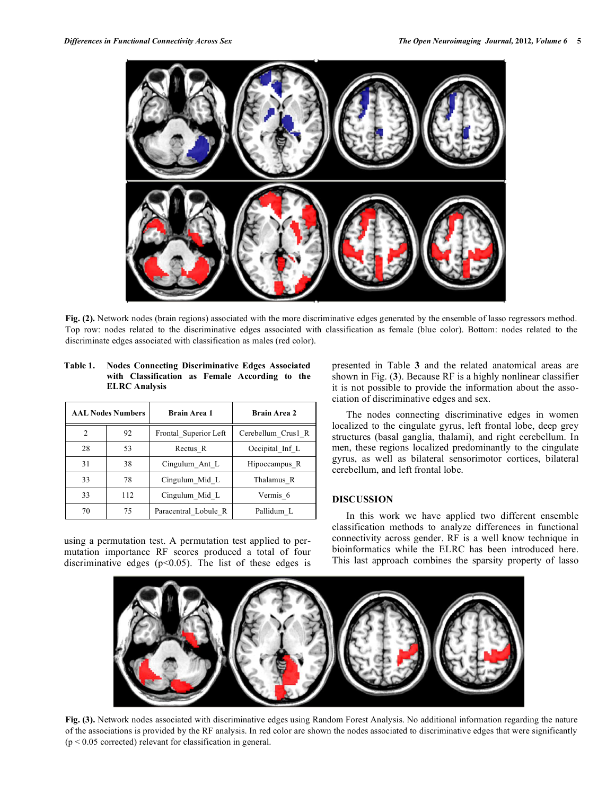

**Fig. (2).** Network nodes (brain regions) associated with the more discriminative edges generated by the ensemble of lasso regressors method. Top row: nodes related to the discriminative edges associated with classification as female (blue color). Bottom: nodes related to the discriminate edges associated with classification as males (red color).

|    | <b>AAL Nodes Numbers</b> | Brain Area 1          | Brain Area 2       |  |  |
|----|--------------------------|-----------------------|--------------------|--|--|
| 2  | 92                       | Frontal Superior Left | Cerebellum Crus1 R |  |  |
| 28 | 53                       | Rectus R              | Occipital Inf L    |  |  |
| 31 | 38                       | Cingulum Ant L        | Hipoccampus R      |  |  |
| 33 | 78                       | Cingulum Mid L        | Thalamus R         |  |  |
| 33 | 112                      | Cingulum Mid L        | Vermis 6           |  |  |
| 70 | 75                       | Paracentral Lobule R  | Pallidum L         |  |  |

**Table 1. Nodes Connecting Discriminative Edges Associated** 

**ELRC Analysis**

**with Classification as Female According to the** 

using a permutation test. A permutation test applied to permutation importance RF scores produced a total of four discriminative edges ( $p$ <0.05). The list of these edges is presented in Table **3** and the related anatomical areas are shown in Fig. (**3**). Because RF is a highly nonlinear classifier it is not possible to provide the information about the association of discriminative edges and sex.

The nodes connecting discriminative edges in women localized to the cingulate gyrus, left frontal lobe, deep grey structures (basal ganglia, thalami), and right cerebellum. In men, these regions localized predominantly to the cingulate gyrus, as well as bilateral sensorimotor cortices, bilateral cerebellum, and left frontal lobe.

# **DISCUSSION**

In this work we have applied two different ensemble classification methods to analyze differences in functional connectivity across gender. RF is a well know technique in bioinformatics while the ELRC has been introduced here. This last approach combines the sparsity property of lasso



**Fig. (3).** Network nodes associated with discriminative edges using Random Forest Analysis. No additional information regarding the nature of the associations is provided by the RF analysis. In red color are shown the nodes associated to discriminative edges that were significantly  $(p < 0.05$  corrected) relevant for classification in general.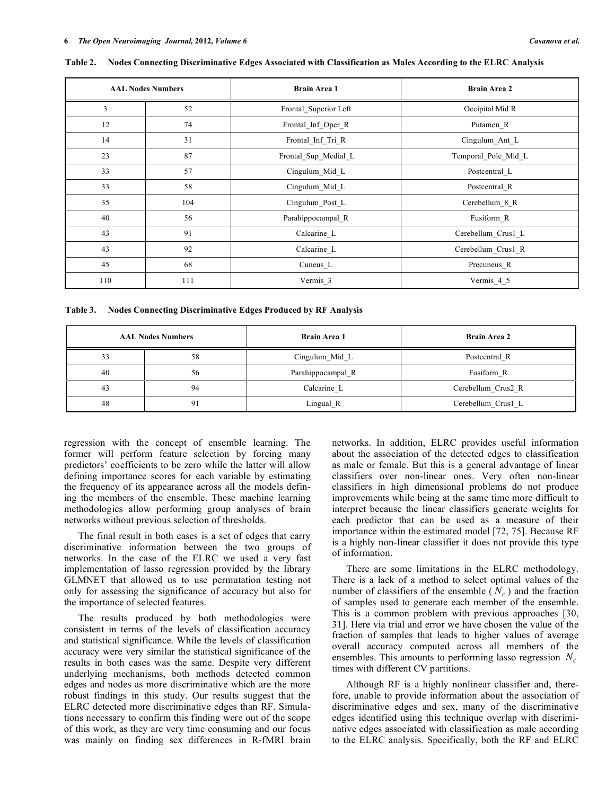| <b>AAL Nodes Numbers</b> |     | <b>Brain Area 1</b>   | <b>Brain Area 2</b> |
|--------------------------|-----|-----------------------|---------------------|
| 3                        | 52  | Frontal_Superior Left | Occipital Mid R     |
| 12                       | 74  | Frontal_Inf_Oper_R    | Putamen R           |
| 14                       | 31  | Frontal Inf Tri R     | Cingulum_Ant_L      |
| 23                       | 87  | Frontal Sup Medial L  | Temporal Pole Mid L |
| 33                       | 57  | Cingulum_Mid_L        | Postcentral L       |
| 33                       | 58  | Cingulum_Mid_L        | Postcentral R       |
| 35                       | 104 | Cingulum_Post_L       | Cerebellum_8_R      |
| 40                       | 56  | Parahippocampal_R     | Fusiform_R          |
| 43                       | 91  | Calcarine_L           | Cerebellum_Crus1_L  |
| 43                       | 92  | Calcarine_L           | Cerebellum_Crus1_R  |
| 45                       | 68  | Cuneus L              | Precuneus R         |
| 110                      | 111 | Vermis_3              | Vermis_4_5          |

Table 2. Nodes Connecting Discriminative Edges Associated with Classification as Males According to the ELRC Analysis

**Table 3. Nodes Connecting Discriminative Edges Produced by RF Analysis**

|    | <b>AAL Nodes Numbers</b> | <b>Brain Area 1</b>   | <b>Brain Area 2</b> |
|----|--------------------------|-----------------------|---------------------|
| 33 | 58                       | Cingulum Mid L        | Postcentral R       |
| 40 | 56                       | Parahippocampal_R     | Fusiform R          |
| 43 | 94                       | Calcarine L           | Cerebellum Crus2 R  |
| 48 | 91                       | Lingual <sub>_R</sub> | Cerebellum Crus1 L  |

regression with the concept of ensemble learning. The former will perform feature selection by forcing many predictors' coefficients to be zero while the latter will allow defining importance scores for each variable by estimating the frequency of its appearance across all the models defining the members of the ensemble. These machine learning methodologies allow performing group analyses of brain networks without previous selection of thresholds.

The final result in both cases is a set of edges that carry discriminative information between the two groups of networks. In the case of the ELRC we used a very fast implementation of lasso regression provided by the library GLMNET that allowed us to use permutation testing not only for assessing the significance of accuracy but also for the importance of selected features.

The results produced by both methodologies were consistent in terms of the levels of classification accuracy and statistical significance. While the levels of classification accuracy were very similar the statistical significance of the results in both cases was the same. Despite very different underlying mechanisms, both methods detected common edges and nodes as more discriminative which are the more robust findings in this study. Our results suggest that the ELRC detected more discriminative edges than RF. Simulations necessary to confirm this finding were out of the scope of this work, as they are very time consuming and our focus was mainly on finding sex differences in R-fMRI brain networks. In addition, ELRC provides useful information about the association of the detected edges to classification as male or female. But this is a general advantage of linear classifiers over non-linear ones. Very often non-linear classifiers in high dimensional problems do not produce improvements while being at the same time more difficult to interpret because the linear classifiers generate weights for each predictor that can be used as a measure of their importance within the estimated model [72, 75]. Because RF is a highly non-linear classifier it does not provide this type of information.

There are some limitations in the ELRC methodology. There is a lack of a method to select optimal values of the number of classifiers of the ensemble  $(N_c)$  and the fraction of samples used to generate each member of the ensemble. This is a common problem with previous approaches [30, 31]. Here via trial and error we have chosen the value of the fraction of samples that leads to higher values of average overall accuracy computed across all members of the ensembles. This amounts to performing lasso regression  $N_c$ times with different CV partitions.

Although RF is a highly nonlinear classifier and, therefore, unable to provide information about the association of discriminative edges and sex, many of the discriminative edges identified using this technique overlap with discriminative edges associated with classification as male according to the ELRC analysis. Specifically, both the RF and ELRC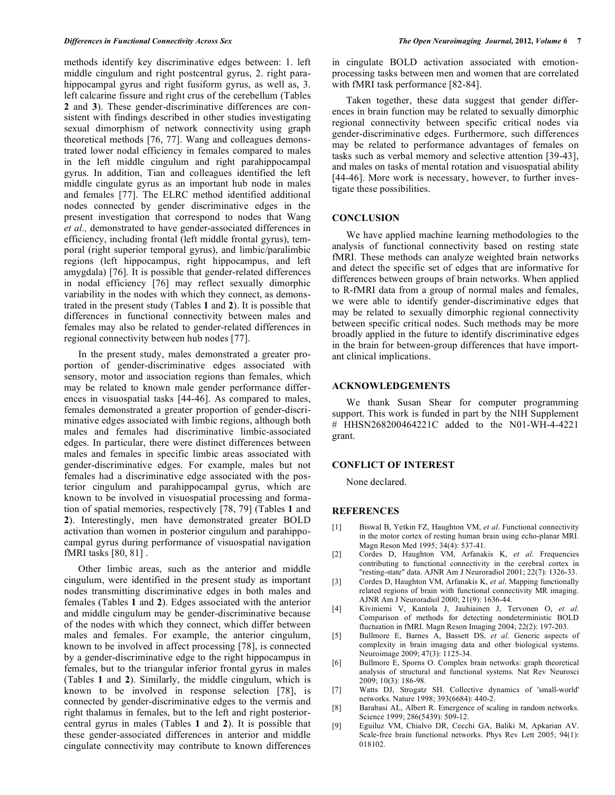methods identify key discriminative edges between: 1. left middle cingulum and right postcentral gyrus, 2. right parahippocampal gyrus and right fusiform gyrus, as well as, 3. left calcarine fissure and right crus of the cerebellum (Tables **2** and **3**). These gender-discriminative differences are consistent with findings described in other studies investigating sexual dimorphism of network connectivity using graph theoretical methods [76, 77]. Wang and colleagues demonstrated lower nodal efficiency in females compared to males in the left middle cingulum and right parahippocampal gyrus. In addition, Tian and colleagues identified the left middle cingulate gyrus as an important hub node in males and females [77]. The ELRC method identified additional nodes connected by gender discriminative edges in the present investigation that correspond to nodes that Wang *et al.,* demonstrated to have gender-associated differences in efficiency, including frontal (left middle frontal gyrus), temporal (right superior temporal gyrus), and limbic/paralimbic regions (left hippocampus, right hippocampus, and left amygdala) [76]. It is possible that gender-related differences in nodal efficiency [76] may reflect sexually dimorphic variability in the nodes with which they connect, as demonstrated in the present study (Tables **1** and **2**). It is possible that differences in functional connectivity between males and females may also be related to gender-related differences in regional connectivity between hub nodes [77].

In the present study, males demonstrated a greater proportion of gender-discriminative edges associated with sensory, motor and association regions than females, which may be related to known male gender performance differences in visuospatial tasks [44-46]. As compared to males, females demonstrated a greater proportion of gender-discriminative edges associated with limbic regions, although both males and females had discriminative limbic-associated edges. In particular, there were distinct differences between males and females in specific limbic areas associated with gender-discriminative edges. For example, males but not females had a discriminative edge associated with the posterior cingulum and parahippocampal gyrus, which are known to be involved in visuospatial processing and formation of spatial memories, respectively [78, 79] (Tables **1** and **2**). Interestingly, men have demonstrated greater BOLD activation than women in posterior cingulum and parahippocampal gyrus during performance of visuospatial navigation fMRI tasks [80, 81] .

Other limbic areas, such as the anterior and middle cingulum, were identified in the present study as important nodes transmitting discriminative edges in both males and females (Tables **1** and **2**). Edges associated with the anterior and middle cingulum may be gender-discriminative because of the nodes with which they connect, which differ between males and females. For example, the anterior cingulum, known to be involved in affect processing [78], is connected by a gender-discriminative edge to the right hippocampus in females, but to the triangular inferior frontal gyrus in males (Tables **1** and **2**). Similarly, the middle cingulum, which is known to be involved in response selection [78], is connected by gender-discriminative edges to the vermis and right thalamus in females, but to the left and right posteriorcentral gyrus in males (Tables **1** and **2**). It is possible that these gender-associated differences in anterior and middle cingulate connectivity may contribute to known differences in cingulate BOLD activation associated with emotionprocessing tasks between men and women that are correlated with fMRI task performance [82-84].

Taken together, these data suggest that gender differences in brain function may be related to sexually dimorphic regional connectivity between specific critical nodes via gender-discriminative edges. Furthermore, such differences may be related to performance advantages of females on tasks such as verbal memory and selective attention [39-43], and males on tasks of mental rotation and visuospatial ability [44-46]. More work is necessary, however, to further investigate these possibilities.

#### **CONCLUSION**

We have applied machine learning methodologies to the analysis of functional connectivity based on resting state fMRI. These methods can analyze weighted brain networks and detect the specific set of edges that are informative for differences between groups of brain networks. When applied to R-fMRI data from a group of normal males and females, we were able to identify gender-discriminative edges that may be related to sexually dimorphic regional connectivity between specific critical nodes. Such methods may be more broadly applied in the future to identify discriminative edges in the brain for between-group differences that have important clinical implications.

#### **ACKNOWLEDGEMENTS**

We thank Susan Shear for computer programming support. This work is funded in part by the NIH Supplement # HHSN268200464221C added to the N01-WH-4-4221 grant.

## **CONFLICT OF INTEREST**

None declared.

# **REFERENCES**

- [1] Biswal B, Yetkin FZ, Haughton VM, *et al*. Functional connectivity in the motor cortex of resting human brain using echo-planar MRI. Magn Reson Med 1995; 34(4): 537-41.
- [2] Cordes D, Haughton VM, Arfanakis K, *et al*. Frequencies contributing to functional connectivity in the cerebral cortex in "resting-state" data. AJNR Am J Neuroradiol 2001; 22(7): 1326-33.
- [3] Cordes D, Haughton VM, Arfanakis K, *et al*. Mapping functionally related regions of brain with functional connectivity MR imaging. AJNR Am J Neuroradiol 2000; 21(9): 1636-44.
- [4] Kiviniemi V, Kantola J, Jauhiainen J, Tervonen O, *et al*. Comparison of methods for detecting nondeterministic BOLD fluctuation in fMRI. Magn Reson Imaging 2004; 22(2): 197-203.
- [5] Bullmore E, Barnes A, Bassett DS, *et al*. Generic aspects of complexity in brain imaging data and other biological systems. Neuroimage 2009; 47(3): 1125-34.
- [6] Bullmore E, Sporns O. Complex brain networks: graph theoretical analysis of structural and functional systems. Nat Rev Neurosci 2009; 10(3): 186-98.
- [7] Watts DJ, Strogatz SH. Collective dynamics of 'small-world' networks. Nature 1998; 393(6684): 440-2.
- [8] Barabasi AL, Albert R. Emergence of scaling in random networks. Science 1999; 286(5439): 509-12.
- [9] Eguiluz VM, Chialvo DR, Cecchi GA, Baliki M, Apkarian AV. Scale-free brain functional networks. Phys Rev Lett 2005; 94(1): 018102.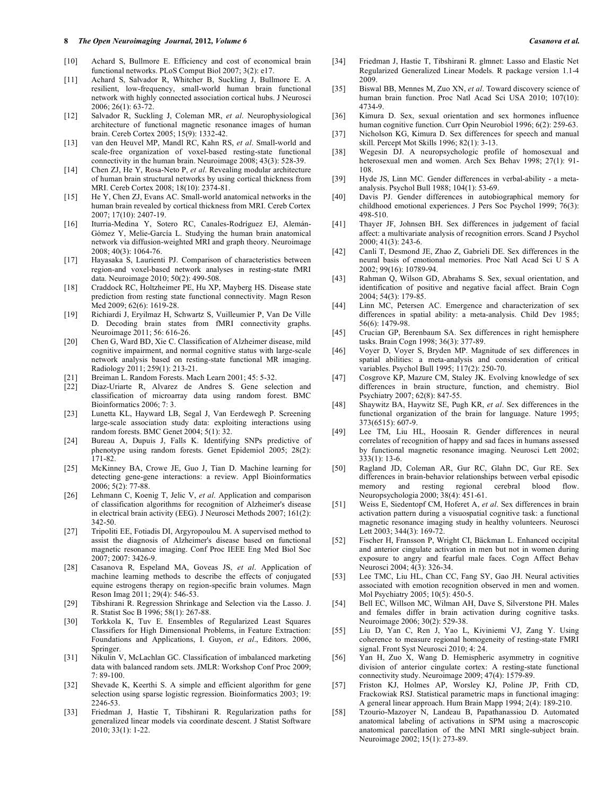#### **8** *The Open Neuroimaging Journal,* **2012***, Volume 6 Casanova et al.*

- [10] Achard S, Bullmore E. Efficiency and cost of economical brain functional networks. PLoS Comput Biol 2007; 3(2): e17.
- [11] Achard S, Salvador R, Whitcher B, Suckling J, Bullmore E. A resilient, low-frequency, small-world human brain functional network with highly connected association cortical hubs. J Neurosci 2006; 26(1): 63-72.
- [12] Salvador R, Suckling J, Coleman MR, *et al*. Neurophysiological architecture of functional magnetic resonance images of human brain. Cereb Cortex 2005; 15(9): 1332-42.
- [13] van den Heuvel MP, Mandl RC, Kahn RS, *et al*. Small-world and scale-free organization of voxel-based resting-state functional connectivity in the human brain. Neuroimage 2008; 43(3): 528-39.
- [14] Chen ZJ, He Y, Rosa-Neto P, *et al*. Revealing modular architecture of human brain structural networks by using cortical thickness from MRI. Cereb Cortex 2008; 18(10): 2374-81.
- [15] He Y, Chen ZJ, Evans AC. Small-world anatomical networks in the human brain revealed by cortical thickness from MRI. Cereb Cortex 2007; 17(10): 2407-19.
- [16] Iturria-Medina Y, Sotero RC, Canales-Rodríguez EJ, Alemán-Gómez Y, Melie-García L. Studying the human brain anatomical network via diffusion-weighted MRI and graph theory. Neuroimage 2008; 40(3): 1064-76.
- [17] Hayasaka S, Laurienti PJ. Comparison of characteristics between region-and voxel-based network analyses in resting-state fMRI data. Neuroimage 2010; 50(2): 499-508.
- [18] Craddock RC, Holtzheimer PE, Hu XP, Mayberg HS. Disease state prediction from resting state functional connectivity. Magn Reson Med 2009; 62(6): 1619-28.
- [19] Richiardi J, Eryilmaz H, Schwartz S, Vuilleumier P, Van De Ville D. Decoding brain states from fMRI connectivity graphs. Neuroimage 2011; 56: 616-26.
- [20] Chen G, Ward BD, Xie C. Classification of Alzheimer disease, mild cognitive impairment, and normal cognitive status with large-scale network analysis based on resting-state functional MR imaging. Radiology 2011; 259(1): 213-21.
- [21] Breiman L. Random Forests. Mach Learn 2001; 45: 5-32.
- [22] Diaz-Uriarte R, Alvarez de Andres S. Gene selection and classification of microarray data using random forest. BMC Bioinformatics 2006; 7: 3.
- [23] Lunetta KL, Hayward LB, Segal J, Van Eerdewegh P. Screening large-scale association study data: exploiting interactions using random forests. BMC Genet 2004; 5(1): 32.
- [24] Bureau A, Dupuis J, Falls K. Identifying SNPs predictive of phenotype using random forests. Genet Epidemiol 2005; 28(2): 171-82.
- [25] McKinney BA, Crowe JE, Guo J, Tian D. Machine learning for detecting gene-gene interactions: a review. Appl Bioinformatics 2006; 5(2): 77-88.
- [26] Lehmann C, Koenig T, Jelic V, *et al*. Application and comparison of classification algorithms for recognition of Alzheimer's disease in electrical brain activity (EEG). J Neurosci Methods 2007; 161(2): 342-50.
- [27] Tripoliti EE, Fotiadis DI, Argyropoulou M. A supervised method to assist the diagnosis of Alzheimer's disease based on functional magnetic resonance imaging. Conf Proc IEEE Eng Med Biol Soc 2007; 2007: 3426-9.
- [28] Casanova R*,* Espeland MA, Goveas JS, *et al*. Application of machine learning methods to describe the effects of conjugated equine estrogens therapy on region-specific brain volumes. Magn Reson Imag 2011; 29(4): 546-53.
- [29] Tibshirani R. Regression Shrinkage and Selection via the Lasso. J. R. Statist Soc B 1996; 58(1): 267-88.
- [30] Torkkola K, Tuv E. Ensembles of Regularized Least Squares Classifiers for High Dimensional Problems, in Feature Extraction: Foundations and Applications, I. Guyon, *et al*., Editors. 2006, Springer.
- [31] Nikulin V, McLachlan GC. Classification of imbalanced marketing data with balanced random sets. JMLR: Workshop Conf Proc 2009; 7: 89-100.
- [32] Shevade K, Keerthi S. A simple and efficient algorithm for gene selection using sparse logistic regression. Bioinformatics 2003; 19: 2246-53.
- [33] Friedman J, Hastie T, Tibshirani R. Regularization paths for generalized linear models via coordinate descent. J Statist Software 2010; 33(1): 1-22.
- [34] Friedman J, Hastie T, Tibshirani R. glmnet: Lasso and Elastic Net Regularized Generalized Linear Models. R package version 1.1-4 2009.
- [35] Biswal BB, Mennes M, Zuo XN, *et al*. Toward discovery science of human brain function. Proc Natl Acad Sci USA 2010; 107(10): 4734-9.
- [36] Kimura D. Sex, sexual orientation and sex hormones influence human cognitive function. Curr Opin Neurobiol 1996; 6(2): 259-63.
- [37] Nicholson KG, Kimura D. Sex differences for speech and manual skill. Percept Mot Skills 1996; 82(1): 3-13.
- [38] Wegesin DJ. A neuropsychologic profile of homosexual and heterosexual men and women. Arch Sex Behav 1998; 27(1): 91- 108.
- [39] Hyde JS, Linn MC. Gender differences in verbal-ability a metaanalysis. Psychol Bull 1988; 104(1): 53-69.
- [40] Davis PJ. Gender differences in autobiographical memory for childhood emotional experiences. J Pers Soc Psychol 1999; 76(3): 498-510.
- [41] Thayer JF, Johnsen BH. Sex differences in judgement of facial affect: a multivariate analysis of recognition errors. Scand J Psychol 2000; 41(3): 243-6.
- [42] Canli T, Desmond JE, Zhao Z, Gabrieli DE. Sex differences in the neural basis of emotional memories. Proc Natl Acad Sci U S A 2002; 99(16): 10789-94.
- [43] Rahman Q, Wilson GD, Abrahams S. Sex, sexual orientation, and identification of positive and negative facial affect. Brain Cogn 2004; 54(3): 179-85.
- [44] Linn MC, Petersen AC. Emergence and characterization of sex differences in spatial ability: a meta-analysis. Child Dev 1985; 56(6): 1479-98.
- [45] Crucian GP, Berenbaum SA. Sex differences in right hemisphere tasks. Brain Cogn 1998; 36(3): 377-89.
- [46] Voyer D, Voyer S, Bryden MP. Magnitude of sex differences in spatial abilities: a meta-analysis and consideration of critical variables. Psychol Bull 1995; 117(2): 250-70.
- [47] Cosgrove KP, Mazure CM, Staley JK. Evolving knowledge of sex differences in brain structure, function, and chemistry. Biol Psychiatry 2007; 62(8): 847-55.
- [48] Shaywitz BA, Haywitz SE, Pugh KR, *et al*. Sex differences in the functional organization of the brain for language. Nature 1995; 373(6515): 607-9.
- [49] Lee TM, Liu HL, Hoosain R. Gender differences in neural correlates of recognition of happy and sad faces in humans assessed by functional magnetic resonance imaging. Neurosci Lett 2002; 333(1): 13-6.
- [50] Ragland JD, Coleman AR, Gur RC, Glahn DC, Gur RE. Sex differences in brain-behavior relationships between verbal episodic memory and resting regional cerebral blood flow. Neuropsychologia 2000; 38(4): 451-61.
- [51] Weiss E, Siedentopf CM, Hoferet A, *et al*. Sex differences in brain activation pattern during a visuospatial cognitive task: a functional magnetic resonance imaging study in healthy volunteers. Neurosci Lett 2003; 344(3): 169-72.
- [52] Fischer H, Fransson P, Wright CI, Bäckman L. Enhanced occipital and anterior cingulate activation in men but not in women during exposure to angry and fearful male faces. Cogn Affect Behav Neurosci 2004; 4(3): 326-34.
- [53] Lee TMC, Liu HL, Chan CC, Fang SY, Gao JH. Neural activities associated with emotion recognition observed in men and women. Mol Psychiatry 2005; 10(5): 450-5.
- [54] Bell EC, Willson MC, Wilman AH, Dave S, Silverstone PH. Males and females differ in brain activation during cognitive tasks. Neuroimage 2006; 30(2): 529-38.
- [55] Liu D, Yan C, Ren J, Yao L, Kiviniemi VJ, Zang Y. Using coherence to measure regional homogeneity of resting-state FMRI signal. Front Syst Neurosci 2010; 4: 24.
- [56] Yan H, Zuo X, Wang D. Hemispheric asymmetry in cognitive division of anterior cingulate cortex: A resting-state functional connectivity study. Neuroimage 2009; 47(4): 1579-89.
- [57] Friston KJ, Holmes AP, Worsley KJ, Poline JP, Frith CD, Frackowiak RSJ. Statistical parametric maps in functional imaging: A general linear approach. Hum Brain Mapp 1994; 2(4): 189-210.
- [58] Tzourio-Mazoyer N, Landeau B, Papathanassiou D. Automated anatomical labeling of activations in SPM using a macroscopic anatomical parcellation of the MNI MRI single-subject brain. Neuroimage 2002; 15(1): 273-89.